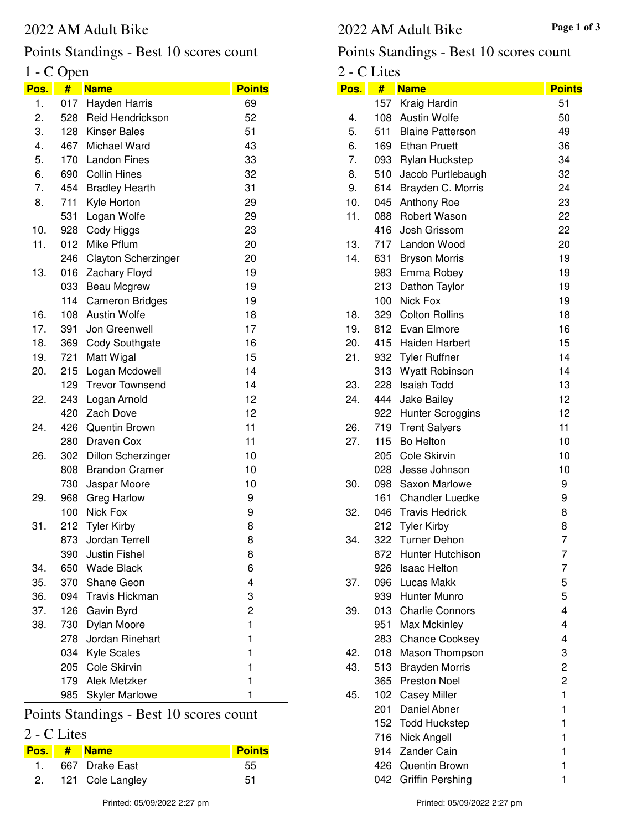# Points Standings - Best 10 scores count

## 1 - C Open

| Pos. | #   | <b>Name</b>                | <b>Points</b> |
|------|-----|----------------------------|---------------|
| 1.   | 017 | Hayden Harris              | 69            |
| 2.   | 528 | Reid Hendrickson           | 52            |
| 3.   |     | 128 Kinser Bales           | 51            |
| 4.   |     | 467 Michael Ward           | 43            |
| 5.   |     | 170 Landon Fines           | 33            |
| 6.   |     | 690 Collin Hines           | 32            |
| 7.   |     | 454 Bradley Hearth         | 31            |
| 8.   | 711 | Kyle Horton                | 29            |
|      | 531 | Logan Wolfe                | 29            |
| 10.  | 928 | Cody Higgs                 | 23            |
| 11.  | 012 | Mike Pflum                 | 20            |
|      | 246 | <b>Clayton Scherzinger</b> | 20            |
| 13.  | 016 | <b>Zachary Floyd</b>       | 19            |
|      | 033 | Beau Mcgrew                | 19            |
|      | 114 | <b>Cameron Bridges</b>     | 19            |
| 16.  |     | 108 Austin Wolfe           | 18            |
| 17.  | 391 | Jon Greenwell              | 17            |
| 18.  | 369 | <b>Cody Southgate</b>      | 16            |
| 19.  | 721 | Matt Wigal                 | 15            |
| 20.  | 215 | Logan Mcdowell             | 14            |
|      | 129 | <b>Trevor Townsend</b>     | 14            |
| 22.  | 243 | Logan Arnold               | 12            |
|      |     | 420 Zach Dove              | 12            |
| 24.  |     | 426 Quentin Brown          | 11            |
|      |     | 280 Draven Cox             | 11            |
| 26.  |     | 302 Dillon Scherzinger     | 10            |
|      | 808 | <b>Brandon Cramer</b>      | 10            |
|      | 730 | Jaspar Moore               | 10            |
| 29.  | 968 | Greg Harlow                | 9             |
|      |     | 100 Nick Fox               | 9             |
| 31.  |     | 212 Tyler Kirby            | 8             |
|      | 873 | Jordan Terrell             | 8             |
|      | 390 | Justin Fishel              | 8             |
| 34.  | 650 | <b>Wade Black</b>          | 6             |
| 35.  | 370 | Shane Geon                 | 4             |
| 36.  | 094 | <b>Travis Hickman</b>      | 3             |
| 37.  | 126 | Gavin Byrd                 | 2             |
| 38.  | 730 | Dylan Moore                | $\mathbf{1}$  |
|      | 278 | Jordan Rinehart            | 1             |
|      | 034 | Kyle Scales                | 1             |
|      | 205 | Cole Skirvin               | 1             |
|      | 179 | Alek Metzker               | 1             |
|      |     |                            |               |

#### Points Standings - Best 10 scores count

#### 2 - C Lites

|  | <b>Pos.</b> # Name  | <b>Points</b> |
|--|---------------------|---------------|
|  | 667 Drake East      | 55            |
|  | 2. 121 Cole Langley | 51            |

# Points Standings - Best 10 scores count

| 2 - C Lites |                  |                         |                |  |
|-------------|------------------|-------------------------|----------------|--|
| Pos.        | #                | <b>Name</b>             | <b>Points</b>  |  |
|             | 157              | Kraig Hardin            | 51             |  |
| 4.          | 108              | <b>Austin Wolfe</b>     | 50             |  |
| 5.          | 511              | <b>Blaine Patterson</b> | 49             |  |
| 6.          |                  | 169 Ethan Pruett        | 36             |  |
| 7.          | 093              | <b>Rylan Huckstep</b>   | 34             |  |
| 8.          | 510              | Jacob Purtlebaugh       | 32             |  |
| 9.          | 614              | Brayden C. Morris       | 24             |  |
| 10.         | 045              | <b>Anthony Roe</b>      | 23             |  |
| 11.         | 088              | Robert Wason            | 22             |  |
|             | 416              | Josh Grissom            | 22             |  |
| 13.         | 717              | Landon Wood             | 20             |  |
| 14.         | 631              | <b>Bryson Morris</b>    | 19             |  |
|             | 983              | Emma Robey              | 19             |  |
|             |                  | 213 Dathon Taylor       | 19             |  |
|             | 100              | <b>Nick Fox</b>         | 19             |  |
| 18.         | 329              | <b>Colton Rollins</b>   | 18             |  |
| 19.         | 812              | Evan Elmore             | 16             |  |
| 20.         |                  | 415 Haiden Harbert      | 15             |  |
| 21.         | 932              | <b>Tyler Ruffner</b>    | 14             |  |
|             | 313              | <b>Wyatt Robinson</b>   | 14             |  |
| 23.         | 228              | <b>Isaiah Todd</b>      | 13             |  |
| 24.         | 444              | Jake Bailey             | 12             |  |
|             | 922              | Hunter Scroggins        | 12             |  |
| 26.         | 719              | <b>Trent Salyers</b>    | 11             |  |
| 27.         | 115              | <b>Bo Helton</b>        | 10             |  |
|             | 205              | Cole Skirvin            | 10             |  |
|             | 028              | Jesse Johnson           | 10             |  |
| 30.         | 098              | <b>Saxon Marlowe</b>    | 9              |  |
|             | 161              | <b>Chandler Luedke</b>  | 9              |  |
| 32.         | 046              | <b>Travis Hedrick</b>   | 8              |  |
|             | 212              | <b>Tyler Kirby</b>      | 8              |  |
| 34.         | 322              | <b>Turner Dehon</b>     | 7              |  |
|             | 872              | <b>Hunter Hutchison</b> | 7              |  |
|             |                  | 926 Isaac Helton        | 7              |  |
| 37.         | 096              | <b>Lucas Makk</b>       | 5              |  |
|             | 939              | <b>Hunter Munro</b>     | 5              |  |
| 39.         | 013              | <b>Charlie Connors</b>  | 4              |  |
|             | 951              | Max Mckinley            | 4              |  |
|             | 283              | <b>Chance Cooksey</b>   | 4              |  |
| 42.         | 018              | Mason Thompson          | 3              |  |
| 43.         | 513              | <b>Brayden Morris</b>   | $\overline{c}$ |  |
|             | 365              | <b>Preston Noel</b>     | 2              |  |
| 45.         | 102 <sub>1</sub> | <b>Casey Miller</b>     | 1              |  |
|             | 201              | Daniel Abner            | $\mathbf{1}$   |  |
|             | 152              | <b>Todd Huckstep</b>    | 1              |  |
|             | 716              | Nick Angell             | 1              |  |
|             | 914              | Zander Cain             | 1              |  |
|             | 426              | <b>Quentin Brown</b>    | 1              |  |
|             | 042              | <b>Griffin Pershing</b> | 1              |  |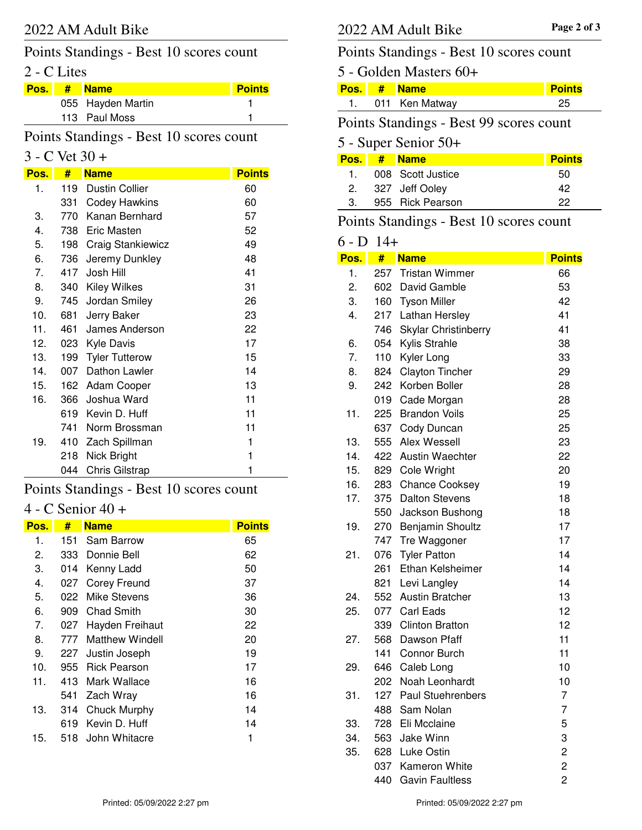## Points Standings - Best 10 scores count

## 2 - C Lites

| Pos. I | # Name            | <b>Points</b> |
|--------|-------------------|---------------|
|        | 055 Hayden Martin |               |
|        | 113 Paul Moss     |               |

#### Points Standings - Best 10 scores count

#### $3 - C$  Vet  $30 +$

| Pos.           | #   | <b>Name</b>              | <b>Points</b> |
|----------------|-----|--------------------------|---------------|
| 1.             | 119 | <b>Dustin Collier</b>    | 60            |
|                | 331 | <b>Codey Hawkins</b>     | 60            |
| З.             | 770 | Kanan Bernhard           | 57            |
| 4.             | 738 | Eric Masten              | 52            |
| 5.             | 198 | <b>Craig Stankiewicz</b> | 49            |
| 6.             | 736 | Jeremy Dunkley           | 48            |
| 7 <sub>1</sub> | 417 | Josh Hill                | 41            |
| 8.             | 340 | <b>Kiley Wilkes</b>      | 31            |
| 9.             | 745 | Jordan Smiley            | 26            |
| 10.            | 681 | Jerry Baker              | 23            |
| 11.            | 461 | James Anderson           | 22            |
| 12.            | 023 | <b>Kyle Davis</b>        | 17            |
| 13.            | 199 | <b>Tyler Tutterow</b>    | 15            |
| 14.            | 007 | Dathon Lawler            | 14            |
| 15.            | 162 | Adam Cooper              | 13            |
| 16.            | 366 | Joshua Ward              | 11            |
|                | 619 | Kevin D. Huff            | 11            |
|                | 741 | Norm Brossman            | 11            |
| 19.            | 410 | Zach Spillman            | 1             |
|                | 218 | Nick Bright              | 1             |
|                | 044 | Chris Gilstrap           | 1             |

#### Points Standings - Best 10 scores count

#### 4 - C Senior 40 +

| Pos. | #    | <b>Name</b>         | <b>Points</b> |
|------|------|---------------------|---------------|
| 1.   | 151  | Sam Barrow          | 65            |
| 2.   | 333. | Donnie Bell         | 62            |
| 3.   | 014  | Kenny Ladd          | 50            |
| 4.   | 027  | Corey Freund        | 37            |
| 5.   | 022  | Mike Stevens        | 36            |
| 6.   | 909  | Chad Smith          | 30            |
| 7.   | 027  | Hayden Freihaut     | 22            |
| 8.   | 777  | Matthew Windell     | 20            |
| 9.   | 227  | Justin Joseph       | 19            |
| 10.  | 955  | <b>Rick Pearson</b> | 17            |
| 11.  | 413  | Mark Wallace        | 16            |
|      | 541  | Zach Wray           | 16            |
| 13.  | 314  | Chuck Murphy        | 14            |
|      | 619  | Kevin D. Huff       | 14            |
| 15.  | 518  | John Whitacre       | 1             |

#### Points Standings - Best 10 scores count

### 5 - Golden Masters 60+

|  | Pos. # Name       | <b>Points</b> |
|--|-------------------|---------------|
|  | 1. 011 Ken Matway |               |

# Points Standings - Best 99 scores count

#### 5 - Super Senior 50+

| Pos. | $#$ Name          | <b>Points</b> |
|------|-------------------|---------------|
| 1.   | 008 Scott Justice | 50            |
|      | 2. 327 Jeff Ooley | 42            |
| 3.   | 955 Rick Pearson  | 22            |
|      |                   |               |

## Points Standings - Best 10 scores count

#### $6 - D$  14+

| Pos.             | #   | <b>Name</b>                 | <b>Points</b>  |
|------------------|-----|-----------------------------|----------------|
| 1.               | 257 | <b>Tristan Wimmer</b>       | 66             |
| 2.               | 602 | David Gamble                | 53             |
| 3.               | 160 | <b>Tyson Miller</b>         | 42             |
| $\overline{4}$ . | 217 | Lathan Hersley              | 41             |
|                  | 746 | <b>Skylar Christinberry</b> | 41             |
| 6.               | 054 | Kylis Strahle               | 38             |
| 7.               | 110 | Kyler Long                  | 33             |
| 8.               | 824 | <b>Clayton Tincher</b>      | 29             |
| 9.               | 242 | Korben Boller               | 28             |
|                  | 019 | Cade Morgan                 | 28             |
| 11.              | 225 | <b>Brandon Voils</b>        | 25             |
|                  | 637 | Cody Duncan                 | 25             |
| 13.              | 555 | Alex Wessell                | 23             |
| 14.              | 422 | <b>Austin Waechter</b>      | 22             |
| 15.              |     | 829 Cole Wright             | 20             |
| 16.              |     | 283 Chance Cooksey          | 19             |
| 17.              | 375 | <b>Dalton Stevens</b>       | 18             |
|                  | 550 | Jackson Bushong             | 18             |
| 19.              | 270 | <b>Benjamin Shoultz</b>     | 17             |
|                  | 747 | Tre Waggoner                | 17             |
| 21.              | 076 | <b>Tyler Patton</b>         | 14             |
|                  | 261 | Ethan Kelsheimer            | 14             |
|                  | 821 | Levi Langley                | 14             |
| 24.              | 552 | <b>Austin Bratcher</b>      | 13             |
| 25.              | 077 | Carl Eads                   | 12             |
|                  | 339 | <b>Clinton Bratton</b>      | 12             |
| 27.              | 568 | Dawson Pfaff                | 11             |
|                  | 141 | Connor Burch                | 11             |
| 29.              | 646 | Caleb Long                  | 10             |
|                  | 202 | Noah Leonhardt              | 10             |
| 31.              | 127 | Paul Stuehrenbers           | 7              |
|                  | 488 | Sam Nolan                   | 7              |
| 33.              | 728 | Eli Mcclaine                | 5              |
| 34.              | 563 | Jake Winn                   | 3              |
| 35.              | 628 | Luke Ostin                  | $\overline{c}$ |
|                  | 037 | Kameron White               | $\overline{c}$ |
|                  | 440 | <b>Gavin Faultless</b>      | $\overline{c}$ |